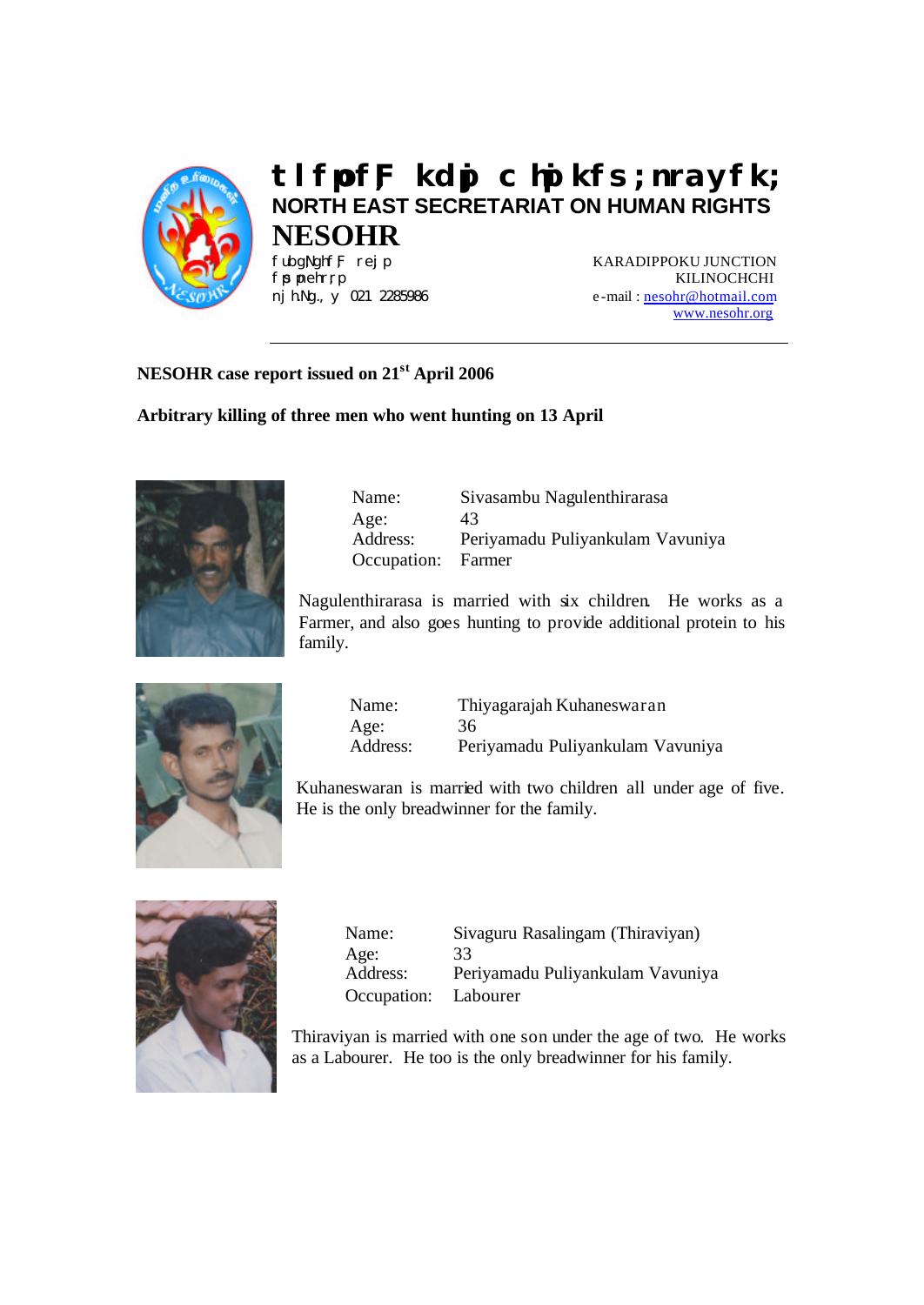

# **tlfpof;F kdpj chpikfs; nrayfk; NORTH EAST SECRETARIAT ON HUMAN RIGHTS NESOHR**

FubgNghfF rej p **KARADIPPOKU JUNCTION** fisinehrri KILINOCHCHI nj h.Ng., y 021 2285986 e-mail: nesohr@hotmail.com www.nesohr.org

# **NESOHR case report issued on 21st April 2006**

## **Arbitrary killing of three men who went hunting on 13 April**



| Name:              | Sivasambu Nagulenthirarasa       |
|--------------------|----------------------------------|
| Age:               | 43                               |
| Address:           | Periyamadu Puliyankulam Vavuniya |
| Occupation: Farmer |                                  |
|                    |                                  |

Nagulenthirarasa is married with six children. He works as a Farmer, and also goes hunting to provide additional protein to his family.



| Name:    | Thiyagarajah Kuhaneswaran        |
|----------|----------------------------------|
| Age:     | 36                               |
| Address: | Periyamadu Puliyankulam Vavuniya |

Kuhaneswaran is married with two children all under age of five. He is the only breadwinner for the family.



Name: Sivaguru Rasalingam (Thiraviyan) Age: 33 Address: Periyamadu Puliyankulam Vavuniya Occupation: Labourer

Thiraviyan is married with one son under the age of two. He works as a Labourer. He too is the only breadwinner for his family.